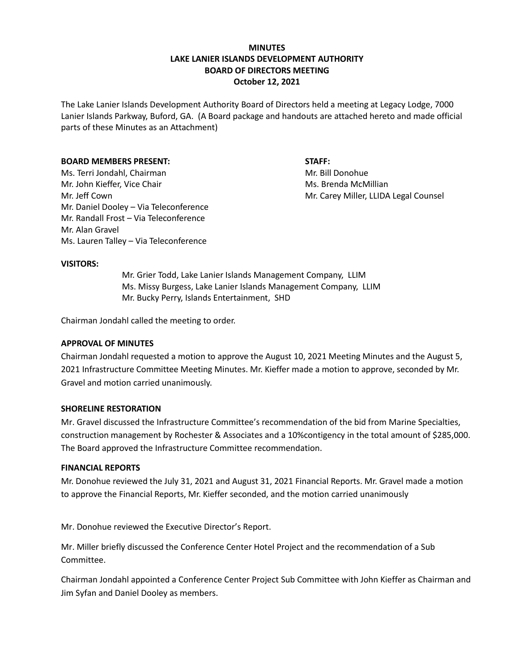# **MINUTES LAKE LANIER ISLANDS DEVELOPMENT AUTHORITY BOARD OF DIRECTORS MEETING October 12, 2021**

The Lake Lanier Islands Development Authority Board of Directors held a meeting at Legacy Lodge, 7000 Lanier Islands Parkway, Buford, GA. (A Board package and handouts are attached hereto and made official parts of these Minutes as an Attachment)

### **BOARD MEMBERS PRESENT: STAFF:**

Ms. Terri Jondahl, Chairman Mr. Bill Donohue Mr. John Kieffer, Vice Chair Mus. Brenda McMillian Mr. Jeff Cown **Mr. Carey Miller, LLIDA Legal Counsel** Mr. Daniel Dooley – Via Teleconference Mr. Randall Frost – Via Teleconference Mr. Alan Gravel Ms. Lauren Talley – Via Teleconference

## **VISITORS:**

Mr. Grier Todd, Lake Lanier Islands Management Company, LLIM Ms. Missy Burgess, Lake Lanier Islands Management Company, LLIM Mr. Bucky Perry, Islands Entertainment, SHD

Chairman Jondahl called the meeting to order.

### **APPROVAL OF MINUTES**

Chairman Jondahl requested a motion to approve the August 10, 2021 Meeting Minutes and the August 5, 2021 Infrastructure Committee Meeting Minutes. Mr. Kieffer made a motion to approve, seconded by Mr. Gravel and motion carried unanimously.

### **SHORELINE RESTORATION**

Mr. Gravel discussed the Infrastructure Committee's recommendation of the bid from Marine Specialties, construction management by Rochester & Associates and a 10%contigency in the total amount of \$285,000. The Board approved the Infrastructure Committee recommendation.

### **FINANCIAL REPORTS**

Mr. Donohue reviewed the July 31, 2021 and August 31, 2021 Financial Reports. Mr. Gravel made a motion to approve the Financial Reports, Mr. Kieffer seconded, and the motion carried unanimously

Mr. Donohue reviewed the Executive Director's Report.

Mr. Miller briefly discussed the Conference Center Hotel Project and the recommendation of a Sub Committee.

Chairman Jondahl appointed a Conference Center Project Sub Committee with John Kieffer as Chairman and Jim Syfan and Daniel Dooley as members.